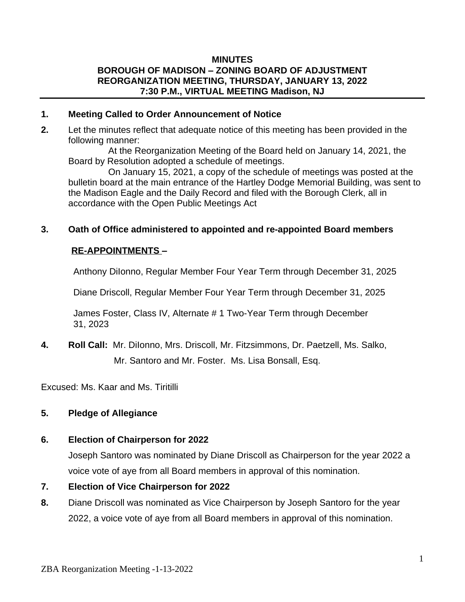#### **MINUTES BOROUGH OF MADISON – ZONING BOARD OF ADJUSTMENT REORGANIZATION MEETING, THURSDAY, JANUARY 13, 2022 7:30 P.M., VIRTUAL MEETING Madison, NJ**

#### **1. Meeting Called to Order Announcement of Notice**

**2.** Let the minutes reflect that adequate notice of this meeting has been provided in the following manner:

 At the Reorganization Meeting of the Board held on January 14, 2021, the Board by Resolution adopted a schedule of meetings.

 On January 15, 2021, a copy of the schedule of meetings was posted at the bulletin board at the main entrance of the Hartley Dodge Memorial Building, was sent to the Madison Eagle and the Daily Record and filed with the Borough Clerk, all in accordance with the Open Public Meetings Act

#### **3. Oath of Office administered to appointed and re-appointed Board members**

### **RE-APPOINTMENTS –**

Anthony DiIonno, Regular Member Four Year Term through December 31, 2025

Diane Driscoll, Regular Member Four Year Term through December 31, 2025

 James Foster, Class IV, Alternate # 1 Two-Year Term through December 31, 2023

**4. Roll Call:** Mr. DiIonno, Mrs. Driscoll, Mr. Fitzsimmons, Dr. Paetzell, Ms. Salko, Mr. Santoro and Mr. Foster. Ms. Lisa Bonsall, Esq.

Excused: Ms. Kaar and Ms. Tiritilli

### **5. Pledge of Allegiance**

#### **6. Election of Chairperson for 2022**

Joseph Santoro was nominated by Diane Driscoll as Chairperson for the year 2022 a voice vote of aye from all Board members in approval of this nomination.

- **7. Election of Vice Chairperson for 2022**
- **8.** Diane Driscoll was nominated as Vice Chairperson by Joseph Santoro for the year 2022, a voice vote of aye from all Board members in approval of this nomination.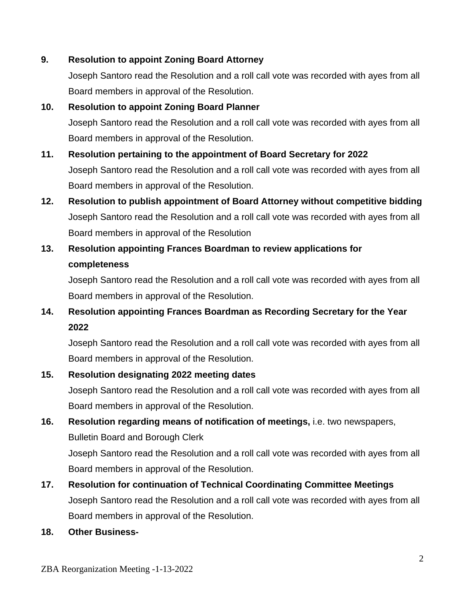### **9. Resolution to appoint Zoning Board Attorney**

Joseph Santoro read the Resolution and a roll call vote was recorded with ayes from all Board members in approval of the Resolution.

### **10. Resolution to appoint Zoning Board Planner**

Joseph Santoro read the Resolution and a roll call vote was recorded with ayes from all Board members in approval of the Resolution.

# **11. Resolution pertaining to the appointment of Board Secretary for 2022**

Joseph Santoro read the Resolution and a roll call vote was recorded with ayes from all Board members in approval of the Resolution.

**12. Resolution to publish appointment of Board Attorney without competitive bidding** Joseph Santoro read the Resolution and a roll call vote was recorded with ayes from all Board members in approval of the Resolution

## **13. Resolution appointing Frances Boardman to review applications for completeness**

Joseph Santoro read the Resolution and a roll call vote was recorded with ayes from all Board members in approval of the Resolution.

## **14. Resolution appointing Frances Boardman as Recording Secretary for the Year 2022**

Joseph Santoro read the Resolution and a roll call vote was recorded with ayes from all Board members in approval of the Resolution.

## **15. Resolution designating 2022 meeting dates**

Joseph Santoro read the Resolution and a roll call vote was recorded with ayes from all Board members in approval of the Resolution.

**16. Resolution regarding means of notification of meetings,** i.e. two newspapers, Bulletin Board and Borough Clerk

Joseph Santoro read the Resolution and a roll call vote was recorded with ayes from all Board members in approval of the Resolution.

## **17. Resolution for continuation of Technical Coordinating Committee Meetings** Joseph Santoro read the Resolution and a roll call vote was recorded with ayes from all Board members in approval of the Resolution.

**18. Other Business-**